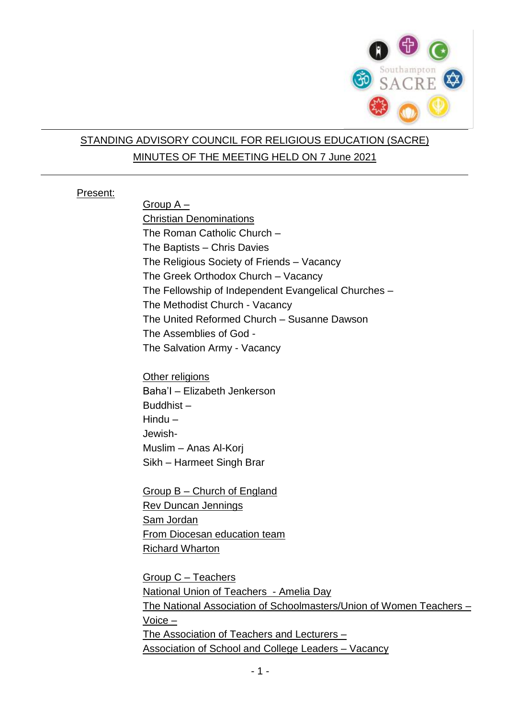

# STANDING ADVISORY COUNCIL FOR RELIGIOUS EDUCATION (SACRE) MINUTES OF THE MEETING HELD ON 7 June 2021

#### Present:

Group A – Christian Denominations The Roman Catholic Church – The Baptists – Chris Davies The Religious Society of Friends – Vacancy The Greek Orthodox Church – Vacancy The Fellowship of Independent Evangelical Churches – The Methodist Church - Vacancy The United Reformed Church – Susanne Dawson The Assemblies of God - The Salvation Army - Vacancy

Other religions Baha'I – Elizabeth Jenkerson Buddhist – Hindu – Jewish-Muslim – Anas Al-Korj Sikh – Harmeet Singh Brar

Group B – Church of England Rev Duncan Jennings Sam Jordan From Diocesan education team Richard Wharton

Group C – Teachers National Union of Teachers - Amelia Day The National Association of Schoolmasters/Union of Women Teachers – Voice – The Association of Teachers and Lecturers – Association of School and College Leaders – Vacancy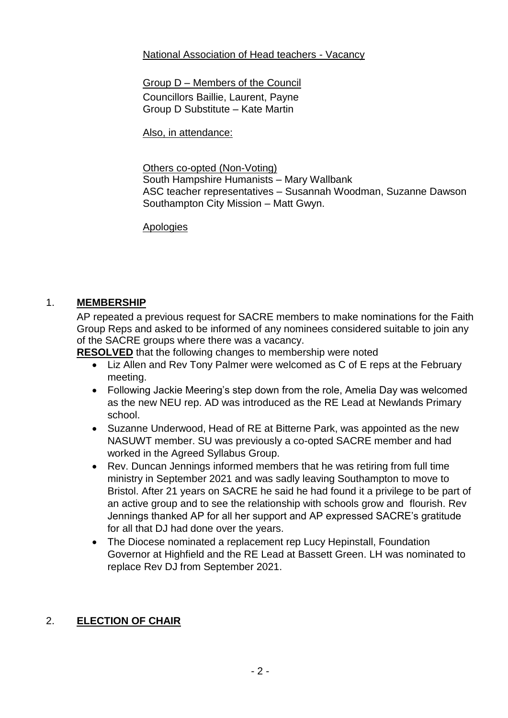### National Association of Head teachers - Vacancy

Group D – Members of the Council Councillors Baillie, Laurent, Payne

Group D Substitute – Kate Martin

Also, in attendance:

Others co-opted (Non-Voting) South Hampshire Humanists – Mary Wallbank ASC teacher representatives – Susannah Woodman, Suzanne Dawson Southampton City Mission – Matt Gwyn.

Apologies

## 1. **MEMBERSHIP**

AP repeated a previous request for SACRE members to make nominations for the Faith Group Reps and asked to be informed of any nominees considered suitable to join any of the SACRE groups where there was a vacancy.

**RESOLVED** that the following changes to membership were noted

- Liz Allen and Rev Tony Palmer were welcomed as C of E reps at the February meeting.
- Following Jackie Meering's step down from the role, Amelia Day was welcomed as the new NEU rep. AD was introduced as the RE Lead at Newlands Primary school.
- Suzanne Underwood, Head of RE at Bitterne Park, was appointed as the new NASUWT member. SU was previously a co-opted SACRE member and had worked in the Agreed Syllabus Group.
- Rev. Duncan Jennings informed members that he was retiring from full time ministry in September 2021 and was sadly leaving Southampton to move to Bristol. After 21 years on SACRE he said he had found it a privilege to be part of an active group and to see the relationship with schools grow and flourish. Rev Jennings thanked AP for all her support and AP expressed SACRE's gratitude for all that DJ had done over the years.
- The Diocese nominated a replacement rep Lucy Hepinstall, Foundation Governor at Highfield and the RE Lead at Bassett Green. LH was nominated to replace Rev DJ from September 2021.

# 2. **ELECTION OF CHAIR**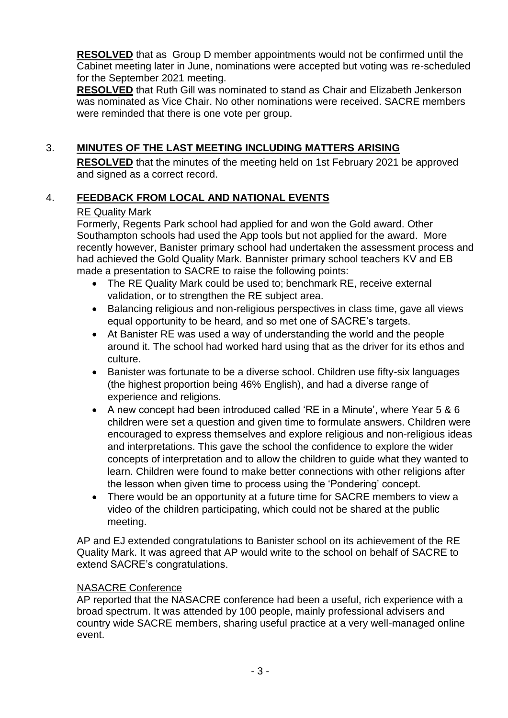**RESOLVED** that as Group D member appointments would not be confirmed until the Cabinet meeting later in June, nominations were accepted but voting was re-scheduled for the September 2021 meeting.

**RESOLVED** that Ruth Gill was nominated to stand as Chair and Elizabeth Jenkerson was nominated as Vice Chair. No other nominations were received. SACRE members were reminded that there is one vote per group.

# 3. **MINUTES OF THE LAST MEETING INCLUDING MATTERS ARISING**

**RESOLVED** that the minutes of the meeting held on 1st February 2021 be approved and signed as a correct record.

## 4. **FEEDBACK FROM LOCAL AND NATIONAL EVENTS**

### RE Quality Mark

Formerly, Regents Park school had applied for and won the Gold award. Other Southampton schools had used the App tools but not applied for the award. More recently however, Banister primary school had undertaken the assessment process and had achieved the Gold Quality Mark. Bannister primary school teachers KV and EB made a presentation to SACRE to raise the following points:

- The RE Quality Mark could be used to; benchmark RE, receive external validation, or to strengthen the RE subject area.
- Balancing religious and non-religious perspectives in class time, gave all views equal opportunity to be heard, and so met one of SACRE's targets.
- At Banister RE was used a way of understanding the world and the people around it. The school had worked hard using that as the driver for its ethos and culture.
- Banister was fortunate to be a diverse school. Children use fifty-six languages (the highest proportion being 46% English), and had a diverse range of experience and religions.
- A new concept had been introduced called 'RE in a Minute', where Year 5 & 6 children were set a question and given time to formulate answers. Children were encouraged to express themselves and explore religious and non-religious ideas and interpretations. This gave the school the confidence to explore the wider concepts of interpretation and to allow the children to guide what they wanted to learn. Children were found to make better connections with other religions after the lesson when given time to process using the 'Pondering' concept.
- There would be an opportunity at a future time for SACRE members to view a video of the children participating, which could not be shared at the public meeting.

AP and EJ extended congratulations to Banister school on its achievement of the RE Quality Mark. It was agreed that AP would write to the school on behalf of SACRE to extend SACRE's congratulations.

#### NASACRE Conference

AP reported that the NASACRE conference had been a useful, rich experience with a broad spectrum. It was attended by 100 people, mainly professional advisers and country wide SACRE members, sharing useful practice at a very well-managed online event.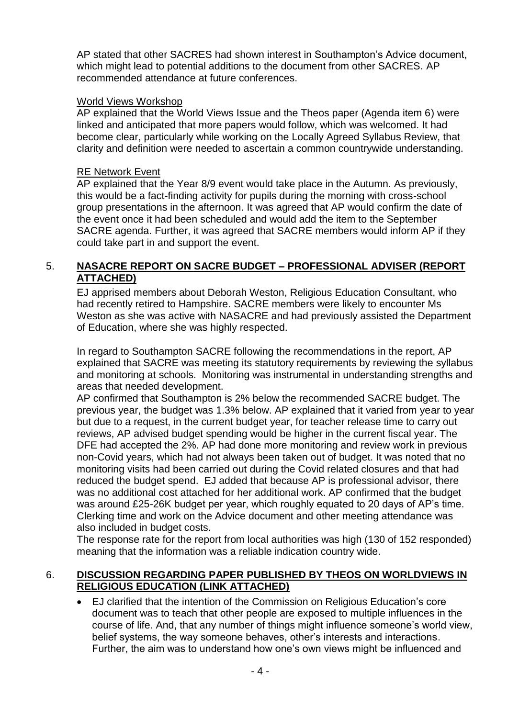AP stated that other SACRES had shown interest in Southampton's Advice document, which might lead to potential additions to the document from other SACRES. AP recommended attendance at future conferences.

### World Views Workshop

AP explained that the World Views Issue and the Theos paper (Agenda item 6) were linked and anticipated that more papers would follow, which was welcomed. It had become clear, particularly while working on the Locally Agreed Syllabus Review, that clarity and definition were needed to ascertain a common countrywide understanding.

### RE Network Event

AP explained that the Year 8/9 event would take place in the Autumn. As previously, this would be a fact-finding activity for pupils during the morning with cross-school group presentations in the afternoon. It was agreed that AP would confirm the date of the event once it had been scheduled and would add the item to the September SACRE agenda. Further, it was agreed that SACRE members would inform AP if they could take part in and support the event.

### 5. **NASACRE REPORT ON SACRE BUDGET – PROFESSIONAL ADVISER (REPORT ATTACHED)**

EJ apprised members about Deborah Weston, Religious Education Consultant, who had recently retired to Hampshire. SACRE members were likely to encounter Ms Weston as she was active with NASACRE and had previously assisted the Department of Education, where she was highly respected.

In regard to Southampton SACRE following the recommendations in the report, AP explained that SACRE was meeting its statutory requirements by reviewing the syllabus and monitoring at schools. Monitoring was instrumental in understanding strengths and areas that needed development.

AP confirmed that Southampton is 2% below the recommended SACRE budget. The previous year, the budget was 1.3% below. AP explained that it varied from year to year but due to a request, in the current budget year, for teacher release time to carry out reviews, AP advised budget spending would be higher in the current fiscal year. The DFE had accepted the 2%. AP had done more monitoring and review work in previous non-Covid years, which had not always been taken out of budget. It was noted that no monitoring visits had been carried out during the Covid related closures and that had reduced the budget spend. EJ added that because AP is professional advisor, there was no additional cost attached for her additional work. AP confirmed that the budget was around £25-26K budget per year, which roughly equated to 20 days of AP's time. Clerking time and work on the Advice document and other meeting attendance was also included in budget costs.

The response rate for the report from local authorities was high (130 of 152 responded) meaning that the information was a reliable indication country wide.

### 6. **DISCUSSION REGARDING PAPER PUBLISHED BY THEOS ON WORLDVIEWS IN RELIGIOUS EDUCATION (LINK ATTACHED)**

 EJ clarified that the intention of the Commission on Religious Education's core document was to teach that other people are exposed to multiple influences in the course of life. And, that any number of things might influence someone's world view, belief systems, the way someone behaves, other's interests and interactions. Further, the aim was to understand how one's own views might be influenced and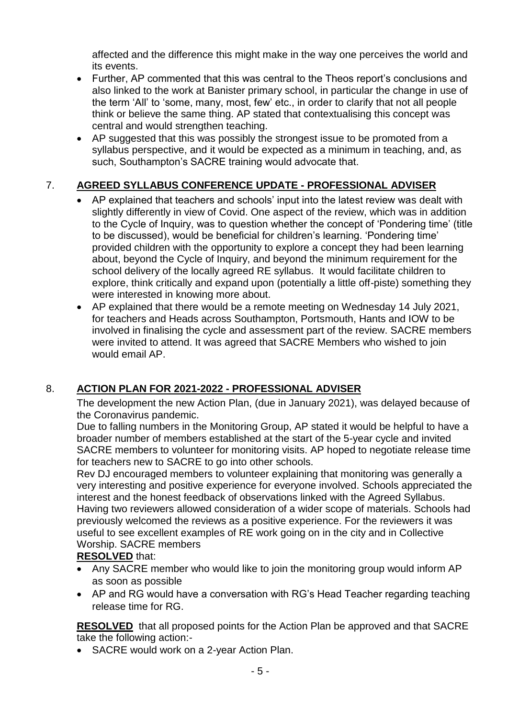affected and the difference this might make in the way one perceives the world and its events.

- Further, AP commented that this was central to the Theos report's conclusions and also linked to the work at Banister primary school, in particular the change in use of the term 'All' to 'some, many, most, few' etc., in order to clarify that not all people think or believe the same thing. AP stated that contextualising this concept was central and would strengthen teaching.
- AP suggested that this was possibly the strongest issue to be promoted from a syllabus perspective, and it would be expected as a minimum in teaching, and, as such, Southampton's SACRE training would advocate that.

# 7. **AGREED SYLLABUS CONFERENCE UPDATE - PROFESSIONAL ADVISER**

- AP explained that teachers and schools' input into the latest review was dealt with slightly differently in view of Covid. One aspect of the review, which was in addition to the Cycle of Inquiry, was to question whether the concept of 'Pondering time' (title to be discussed), would be beneficial for children's learning. 'Pondering time' provided children with the opportunity to explore a concept they had been learning about, beyond the Cycle of Inquiry, and beyond the minimum requirement for the school delivery of the locally agreed RE syllabus. It would facilitate children to explore, think critically and expand upon (potentially a little off-piste) something they were interested in knowing more about.
- AP explained that there would be a remote meeting on Wednesday 14 July 2021, for teachers and Heads across Southampton, Portsmouth, Hants and IOW to be involved in finalising the cycle and assessment part of the review. SACRE members were invited to attend. It was agreed that SACRE Members who wished to join would email AP.

# 8. **ACTION PLAN FOR 2021-2022 - PROFESSIONAL ADVISER**

The development the new Action Plan, (due in January 2021), was delayed because of the Coronavirus pandemic.

Due to falling numbers in the Monitoring Group, AP stated it would be helpful to have a broader number of members established at the start of the 5-year cycle and invited SACRE members to volunteer for monitoring visits. AP hoped to negotiate release time for teachers new to SACRE to go into other schools.

Rev DJ encouraged members to volunteer explaining that monitoring was generally a very interesting and positive experience for everyone involved. Schools appreciated the interest and the honest feedback of observations linked with the Agreed Syllabus. Having two reviewers allowed consideration of a wider scope of materials. Schools had previously welcomed the reviews as a positive experience. For the reviewers it was useful to see excellent examples of RE work going on in the city and in Collective Worship. SACRE members

# **RESOLVED** that:

- Any SACRE member who would like to join the monitoring group would inform AP as soon as possible
- AP and RG would have a conversation with RG's Head Teacher regarding teaching release time for RG.

**RESOLVED** that all proposed points for the Action Plan be approved and that SACRE take the following action:-

• SACRE would work on a 2-year Action Plan.